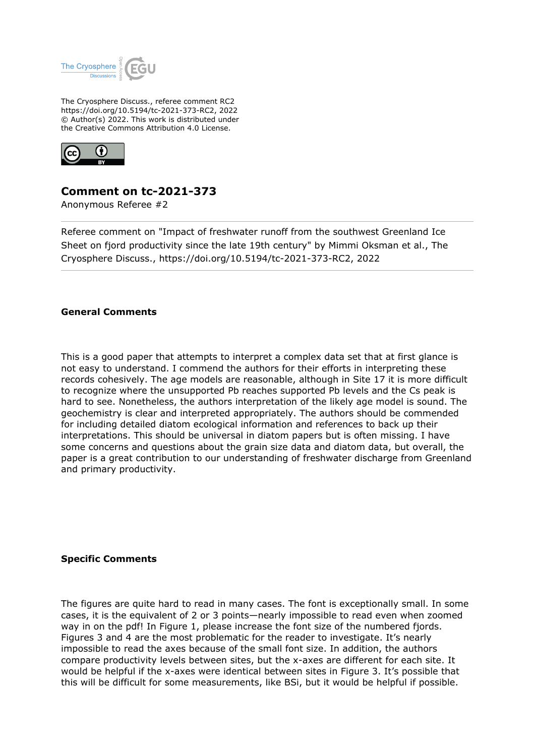

The Cryosphere Discuss., referee comment RC2 https://doi.org/10.5194/tc-2021-373-RC2, 2022 © Author(s) 2022. This work is distributed under the Creative Commons Attribution 4.0 License.



## **Comment on tc-2021-373**

Anonymous Referee #2

Referee comment on "Impact of freshwater runoff from the southwest Greenland Ice Sheet on fjord productivity since the late 19th century" by Mimmi Oksman et al., The Cryosphere Discuss., https://doi.org/10.5194/tc-2021-373-RC2, 2022

## **General Comments**

This is a good paper that attempts to interpret a complex data set that at first glance is not easy to understand. I commend the authors for their efforts in interpreting these records cohesively. The age models are reasonable, although in Site 17 it is more difficult to recognize where the unsupported Pb reaches supported Pb levels and the Cs peak is hard to see. Nonetheless, the authors interpretation of the likely age model is sound. The geochemistry is clear and interpreted appropriately. The authors should be commended for including detailed diatom ecological information and references to back up their interpretations. This should be universal in diatom papers but is often missing. I have some concerns and questions about the grain size data and diatom data, but overall, the paper is a great contribution to our understanding of freshwater discharge from Greenland and primary productivity.

## **Specific Comments**

The figures are quite hard to read in many cases. The font is exceptionally small. In some cases, it is the equivalent of 2 or 3 points—nearly impossible to read even when zoomed way in on the pdf! In Figure 1, please increase the font size of the numbered fjords. Figures 3 and 4 are the most problematic for the reader to investigate. It's nearly impossible to read the axes because of the small font size. In addition, the authors compare productivity levels between sites, but the x-axes are different for each site. It would be helpful if the x-axes were identical between sites in Figure 3. It's possible that this will be difficult for some measurements, like BSi, but it would be helpful if possible.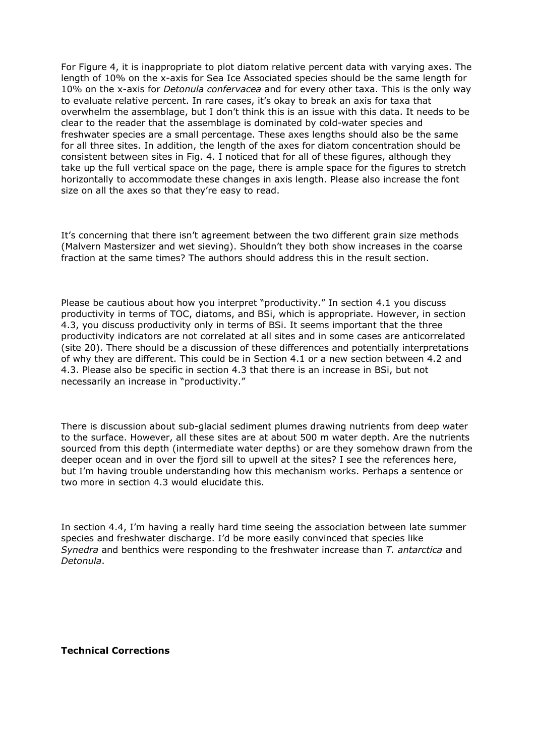For Figure 4, it is inappropriate to plot diatom relative percent data with varying axes. The length of 10% on the x-axis for Sea Ice Associated species should be the same length for 10% on the x-axis for *Detonula confervacea* and for every other taxa. This is the only way to evaluate relative percent. In rare cases, it's okay to break an axis for taxa that overwhelm the assemblage, but I don't think this is an issue with this data. It needs to be clear to the reader that the assemblage is dominated by cold-water species and freshwater species are a small percentage. These axes lengths should also be the same for all three sites. In addition, the length of the axes for diatom concentration should be consistent between sites in Fig. 4. I noticed that for all of these figures, although they take up the full vertical space on the page, there is ample space for the figures to stretch horizontally to accommodate these changes in axis length. Please also increase the font size on all the axes so that they're easy to read.

It's concerning that there isn't agreement between the two different grain size methods (Malvern Mastersizer and wet sieving). Shouldn't they both show increases in the coarse fraction at the same times? The authors should address this in the result section.

Please be cautious about how you interpret "productivity." In section 4.1 you discuss productivity in terms of TOC, diatoms, and BSi, which is appropriate. However, in section 4.3, you discuss productivity only in terms of BSi. It seems important that the three productivity indicators are not correlated at all sites and in some cases are anticorrelated (site 20). There should be a discussion of these differences and potentially interpretations of why they are different. This could be in Section 4.1 or a new section between 4.2 and 4.3. Please also be specific in section 4.3 that there is an increase in BSi, but not necessarily an increase in "productivity."

There is discussion about sub-glacial sediment plumes drawing nutrients from deep water to the surface. However, all these sites are at about 500 m water depth. Are the nutrients sourced from this depth (intermediate water depths) or are they somehow drawn from the deeper ocean and in over the fjord sill to upwell at the sites? I see the references here, but I'm having trouble understanding how this mechanism works. Perhaps a sentence or two more in section 4.3 would elucidate this.

In section 4.4, I'm having a really hard time seeing the association between late summer species and freshwater discharge. I'd be more easily convinced that species like *Synedra* and benthics were responding to the freshwater increase than *T. antarctica* and *Detonula*.

**Technical Corrections**